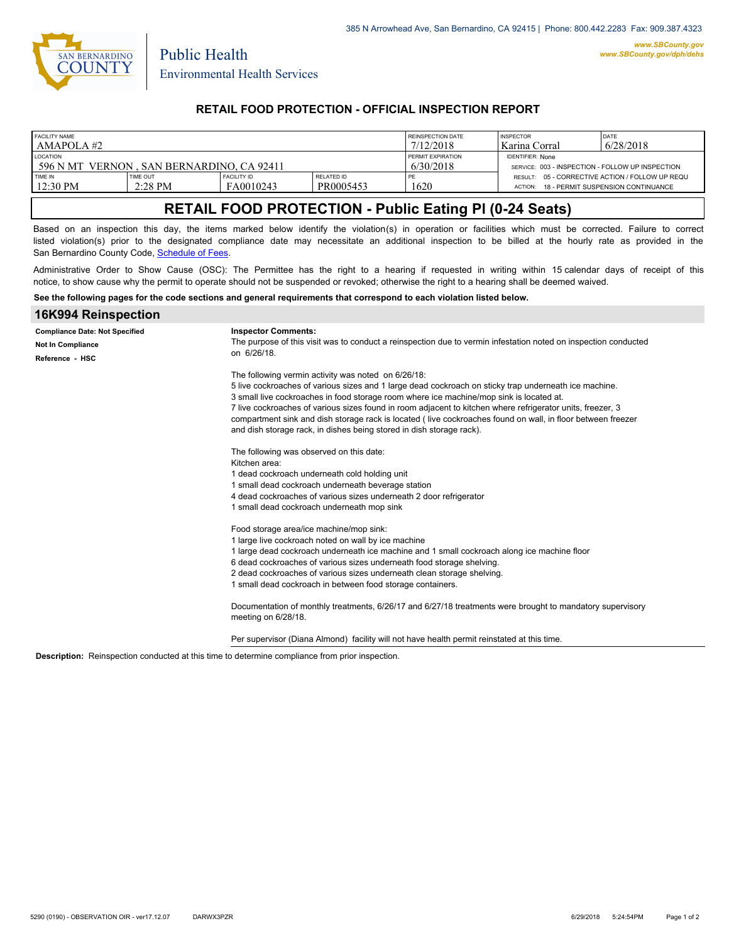

Public Health

## **RETAIL FOOD PROTECTION - OFFICIAL INSPECTION REPORT**

| <b>FACILITY NAME</b><br>LAMAPOLA #2                             |                       |                                 |                         | <b>REINSPECTION DATE</b><br>7/12/2018 | <b>INSPECTOR</b><br>l Karina Corral                                         | DATE<br>6/28/2018                  |
|-----------------------------------------------------------------|-----------------------|---------------------------------|-------------------------|---------------------------------------|-----------------------------------------------------------------------------|------------------------------------|
| <b>LOCATION</b><br>596 N MT<br>VERNON, SAN BERNARDINO, CA 92411 |                       |                                 |                         | <b>PERMIT EXPIRATION</b><br>6/30/2018 | <b>IDENTIFIER: None</b><br>SERVICE: 003 - INSPECTION - FOLLOW UP INSPECTION |                                    |
| TIME IN<br>12:30 PM                                             | TIME OUT<br>$2:28$ PM | <b>FACILITY ID</b><br>FA0010243 | RELATED ID<br>PR0005453 | 1620                                  | RESULT: 05 - CORRECTIVE ACTION / FOLLOW UP REQU<br>ACTION:                  | 18 - PERMIT SUSPENSION CONTINUANCE |

# **RETAIL FOOD PROTECTION - Public Eating Pl (0-24 Seats)**

Based on an inspection this day, the items marked below identify the violation(s) in operation or facilities which must be corrected. Failure to correct listed violation(s) prior to the designated compliance date may necessitate an additional inspection to be billed at the hourly rate as provided in the San Bernardino County Code, Sc[hedule of Fees.](http://www.amlegal.com/nxt/gateway.dll/California/sanbernardinocounty_ca/title1governmentandadministration/division6countyfees/chapter2scheduleoffees?f=templates$fn=default.htm$3.0$vid=amlegal:sanbernardinocounty_ca$anc=JD_16.0213B)

Administrative Order to Show Cause (OSC): The Permittee has the right to a hearing if requested in writing within 15 calendar days of receipt of this notice, to show cause why the permit to operate should not be suspended or revoked; otherwise the right to a hearing shall be deemed waived.

**See the following pages for the code sections and general requirements that correspond to each violation listed below.**

| 16K994 Reinspection                                                           |                                                                                                                                                                                                                                                                                                                                                                                                                                                                                                                                                              |  |  |
|-------------------------------------------------------------------------------|--------------------------------------------------------------------------------------------------------------------------------------------------------------------------------------------------------------------------------------------------------------------------------------------------------------------------------------------------------------------------------------------------------------------------------------------------------------------------------------------------------------------------------------------------------------|--|--|
| <b>Compliance Date: Not Specified</b><br>Not In Compliance<br>Reference - HSC | <b>Inspector Comments:</b><br>The purpose of this visit was to conduct a reinspection due to vermin infestation noted on inspection conducted<br>on 6/26/18.                                                                                                                                                                                                                                                                                                                                                                                                 |  |  |
|                                                                               | The following vermin activity was noted on 6/26/18:<br>5 live cockroaches of various sizes and 1 large dead cockroach on sticky trap underneath ice machine.<br>3 small live cockroaches in food storage room where ice machine/mop sink is located at.<br>7 live cockroaches of various sizes found in room adjacent to kitchen where refrigerator units, freezer, 3<br>compartment sink and dish storage rack is located (live cockroaches found on wall, in floor between freezer<br>and dish storage rack, in dishes being stored in dish storage rack). |  |  |
|                                                                               | The following was observed on this date:<br>Kitchen area:<br>1 dead cockroach underneath cold holding unit<br>1 small dead cockroach underneath beverage station<br>4 dead cockroaches of various sizes underneath 2 door refrigerator<br>1 small dead cockroach underneath mop sink                                                                                                                                                                                                                                                                         |  |  |
|                                                                               | Food storage area/ice machine/mop sink:<br>1 large live cockroach noted on wall by ice machine<br>1 large dead cockroach underneath ice machine and 1 small cockroach along ice machine floor<br>6 dead cockroaches of various sizes underneath food storage shelving.<br>2 dead cockroaches of various sizes underneath clean storage shelving.<br>1 small dead cockroach in between food storage containers.                                                                                                                                               |  |  |
|                                                                               | Documentation of monthly treatments, 6/26/17 and 6/27/18 treatments were brought to mandatory supervisory<br>meeting on 6/28/18.<br>Per supervisor (Diana Almond) facility will not have health permit reinstated at this time.                                                                                                                                                                                                                                                                                                                              |  |  |

**Description:** Reinspection conducted at this time to determine compliance from prior inspection.